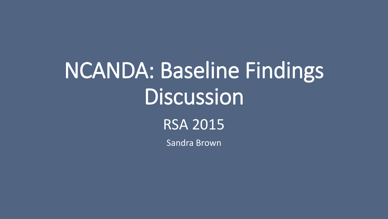# NCANDA: Baseline Findings Discussion

RSA 2015

Sandra Brown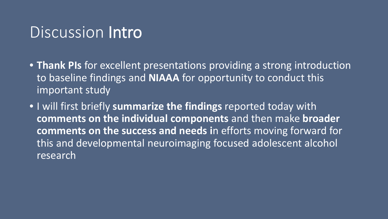#### Discussion Intro

- **Thank PIs** for excellent presentations providing a strong introduction to baseline findings and **NIAAA** for opportunity to conduct this important study
- I will first briefly **summarize the findings** reported today with **comments on the individual components** and then make **broader comments on the success and needs i**n efforts moving forward for this and developmental neuroimaging focused adolescent alcohol research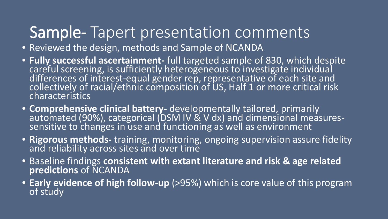#### Sample- Tapert presentation comments

- Reviewed the design, methods and Sample of NCANDA
- **Fully successful ascertainment-** full targeted sample of 830, which despite careful screening, is sufficiently heterogeneous to investigate individual differences of interest-equal gender rep, representative of each site and collectively of racial/ethnic composition of US, Half 1 or more critical risk characteristics
- **Comprehensive clinical battery-** developmentally tailored, primarily automated (90%), categorical (DSM IV & V dx) and dimensional measures- sensitive to changes in use and functioning as well as environment
- **Rigorous methods-** training, monitoring, ongoing supervision assure fidelity and reliability across sites and over time
- Baseline findings **consistent with extant literature and risk & age related predictions** of NCANDA
- **Early evidence of high follow-up** (>95%) which is core value of this program of study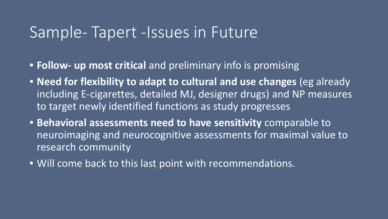#### Sample- Tapert -Issues in Future

- **Follow- up most critical** and preliminary info is promising
- **Need for flexibility to adapt to cultural and use changes** (eg already including E-cigarettes, detailed MJ, designer drugs) and NP measures to target newly identified functions as study progresses
- **Behavioral assessments need to have sensitivity** comparable to neuroimaging and neurocognitive assessments for maximal value to research community
- Will come back to this last point with recommendations.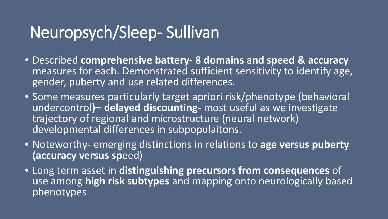## Neuropsych/Sleep- Sullivan

- Described **comprehensive battery- 8 domains and speed & accuracy**  measures for each. Demonstrated sufficient sensitivity to identify age, gender, puberty and use related differences.
- Some measures particularly target apriori risk/phenotype (behavioral undercontrol**)– delayed discounting-** most useful as we investigate trajectory of regional and microstructure (neural network) developmental differences in subpopulaitons.
- Noteworthy- emerging distinctions in relations to **age versus puberty (accuracy versus sp**eed)
- Long term asset in **distinguishing precursors from consequences** of use among **high risk subtypes** and mapping onto neurologically based phenotypes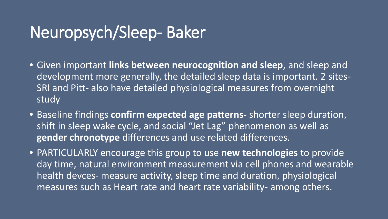#### Neuropsych/Sleep- Baker

- Given important **links between neurocognition and sleep**, and sleep and development more generally, the detailed sleep data is important. 2 sites-SRI and Pitt- also have detailed physiological measures from overnight study
- Baseline findings **confirm expected age patterns-** shorter sleep duration, shift in sleep wake cycle, and social "Jet Lag" phenomenon as well as **gender chronotype** differences and use related differences.
- PARTICULARLY encourage this group to use **new technologies** to provide day time, natural environment measurement via cell phones and wearable health devces- measure activity, sleep time and duration, physiological measures such as Heart rate and heart rate variability- among others.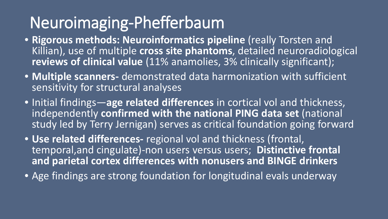# Neuroimaging-Phefferbaum

- **Rigorous methods: Neuroinformatics pipeline** (really Torsten and Killian), use of multiple **cross site phantoms**, detailed neuroradiological **reviews of clinical value** (11% anamolies, 3% clinically significant);
- **Multiple scanners-** demonstrated data harmonization with sufficient sensitivity for structural analyses
- Initial findings—**age related differences** in cortical vol and thickness, independently **confirmed with the national PING data set** (national study led by Terry Jernigan) serves as critical foundation going forward
- **Use related differences-** regional vol and thickness (frontal, temporal,and cingulate)-non users versus users; **Distinctive frontal and parietal cortex differences with nonusers and BINGE drinkers**
- Age findings are strong foundation for longitudinal evals underway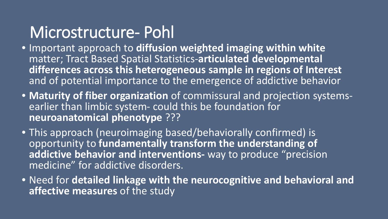#### Microstructure- Pohl

- Important approach to **diffusion weighted imaging within white**  matter; Tract Based Spatial Statistics-**articulated developmental differences across this heterogeneous sample in regions of Interest**  and of potential importance to the emergence of addictive behavior
- **Maturity of fiber organization** of commissural and projection systems- earlier than limbic system- could this be foundation for **neuroanatomical phenotype** ???
- This approach (neuroimaging based/behaviorally confirmed) is opportunity to **fundamentally transform the understanding of addictive behavior and interventions-** way to produce "precision medicine" for addictive disorders.
- Need for **detailed linkage with the neurocognitive and behavioral and affective measures** of the study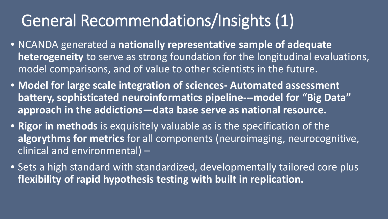# General Recommendations/Insights (1)

- NCANDA generated a **nationally representative sample of adequate heterogeneity** to serve as strong foundation for the longitudinal evaluations, model comparisons, and of value to other scientists in the future.
- **Model for large scale integration of sciences- Automated assessment battery, sophisticated neuroinformatics pipeline---model for "Big Data" approach in the addictions—data base serve as national resource.**
- **Rigor in methods** is exquisitely valuable as is the specification of the **algorythms for metrics** for all components (neuroimaging, neurocognitive, clinical and environmental) –
- Sets a high standard with standardized, developmentally tailored core plus **flexibility of rapid hypothesis testing with built in replication.**